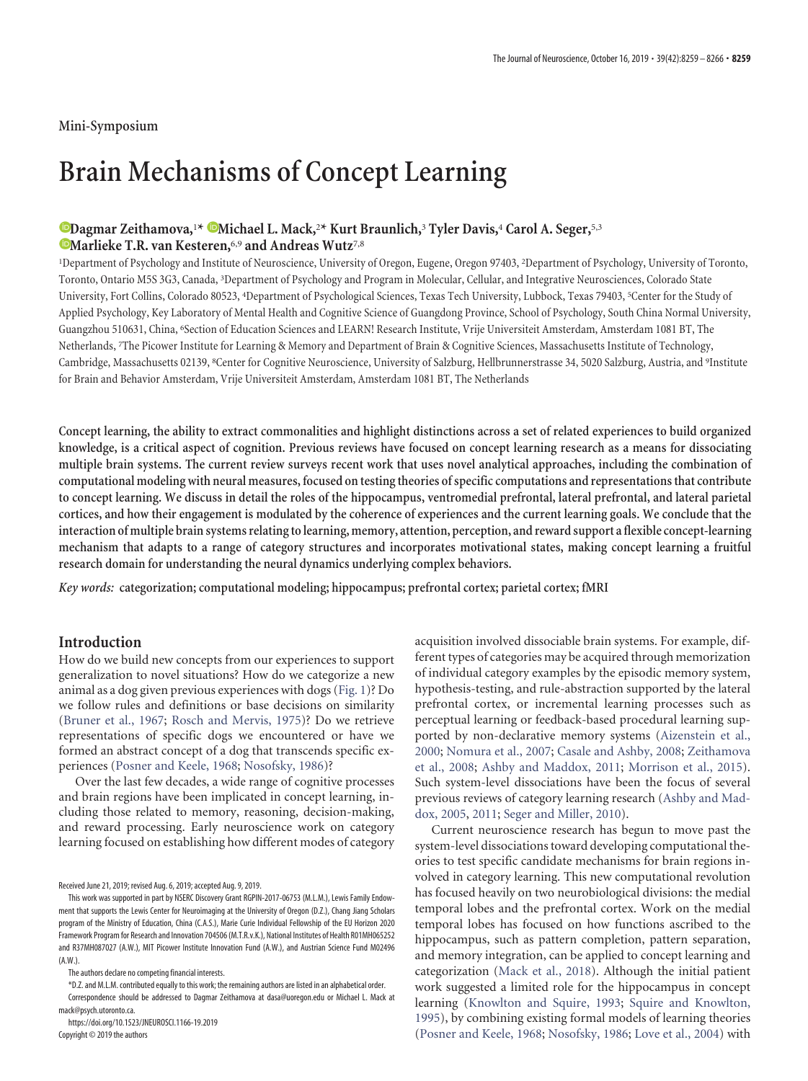# **Brain Mechanisms of Concept Learning**

## **XDagmar Zeithamova,**<sup>1</sup> **\* XMichael L. Mack,**<sup>2</sup> **\* Kurt Braunlich,**<sup>3</sup> **Tyler Davis,**<sup>4</sup> **Carol A. Seger,**5,3 **EMarlieke T.R. van Kesteren, 6,9 and Andreas Wutz<sup>7,8</sup>**

<sup>1</sup>Department of Psychology and Institute of Neuroscience, University of Oregon, Eugene, Oregon 97403, <sup>2</sup>Department of Psychology, University of Toronto, Toronto, Ontario M5S 3G3, Canada, <sup>3</sup> Department of Psychology and Program in Molecular, Cellular, and Integrative Neurosciences, Colorado State University, Fort Collins, Colorado 80523, <sup>4</sup> Department of Psychological Sciences, Texas Tech University, Lubbock, Texas 79403, <sup>5</sup> Center for the Study of Applied Psychology, Key Laboratory of Mental Health and Cognitive Science of Guangdong Province, School of Psychology, South China Normal University, Guangzhou 510631, China, <sup>6</sup> Section of Education Sciences and LEARN! Research Institute, Vrije Universiteit Amsterdam, Amsterdam 1081 BT, The Netherlands, <sup>7</sup> The Picower Institute for Learning & Memory and Department of Brain & Cognitive Sciences, Massachusetts Institute of Technology, Cambridge, Massachusetts 02139, <sup>8</sup>Center for Cognitive Neuroscience, University of Salzburg, Hellbrunnerstrasse 34, 5020 Salzburg, Austria, and <sup>9</sup>Institute for Brain and Behavior Amsterdam, Vrije Universiteit Amsterdam, Amsterdam 1081 BT, The Netherlands

**Concept learning, the ability to extract commonalities and highlight distinctions across a set of related experiences to build organized knowledge, is a critical aspect of cognition. Previous reviews have focused on concept learning research as a means for dissociating multiple brain systems. The current review surveys recent work that uses novel analytical approaches, including the combination of computational modeling with neural measures, focused on testing theories of specific computations and representations that contribute to concept learning. We discuss in detail the roles of the hippocampus, ventromedial prefrontal, lateral prefrontal, and lateral parietal cortices, and how their engagement is modulated by the coherence of experiences and the current learning goals. We conclude that the interaction of multiple brain systems relatingto learning, memory, attention, perception, and reward support aflexible concept-learning mechanism that adapts to a range of category structures and incorporates motivational states, making concept learning a fruitful research domain for understanding the neural dynamics underlying complex behaviors.**

*Key words:* **categorization; computational modeling; hippocampus; prefrontal cortex; parietal cortex; fMRI**

# **Introduction**

How do we build new concepts from our experiences to support generalization to novel situations? How do we categorize a new animal as a dog given previous experiences with dogs [\(Fig. 1\)](#page-1-0)? Do we follow rules and definitions or base decisions on similarity [\(Bruner et al., 1967;](#page-5-0) [Rosch and Mervis, 1975\)](#page-6-0)? Do we retrieve representations of specific dogs we encountered or have we formed an abstract concept of a dog that transcends specific experiences [\(Posner and Keele, 1968;](#page-6-1) [Nosofsky, 1986\)](#page-6-2)?

Over the last few decades, a wide range of cognitive processes and brain regions have been implicated in concept learning, including those related to memory, reasoning, decision-making, and reward processing. Early neuroscience work on category learning focused on establishing how different modes of category

Received June 21, 2019; revised Aug. 6, 2019; accepted Aug. 9, 2019.

This work was supported in part by NSERC Discovery Grant RGPIN-2017-06753 (M.L.M.), Lewis Family Endowment that supports the Lewis Center for Neuroimaging at the University of Oregon (D.Z.), Chang Jiang Scholars program of the Ministry of Education, China (C.A.S.), Marie Curie Individual Fellowship of the EU Horizon 2020 Framework Program for Research and Innovation 704506 (M.T.R.v.K.), National Institutes of Health R01MH065252 and R37MH087027 (A.W.), MIT Picower Institute Innovation Fund (A.W.), and Austrian Science Fund M02496 (A.W.).

The authors declare no competing financial interests.

\*D.Z. and M.L.M. contributed equally to this work; the remaining authors are listed in an alphabetical order. Correspondence should be addressed to Dagmar Zeithamova at [dasa@uoregon.edu](mailto:dasa@uoregon.edu) or Michael L. Mack at [mack@psych.utoronto.ca.](mailto:mack@psych.utoronto.ca)

https://doi.org/10.1523/JNEUROSCI.1166-19.2019 Copyright © 2019 the authors

acquisition involved dissociable brain systems. For example, different types of categories may be acquired through memorization of individual category examples by the episodic memory system, hypothesis-testing, and rule-abstraction supported by the lateral prefrontal cortex, or incremental learning processes such as perceptual learning or feedback-based procedural learning supported by non-declarative memory systems [\(Aizenstein et al.,](#page-5-1) [2000;](#page-5-1) [Nomura et al., 2007;](#page-6-3) [Casale and Ashby, 2008;](#page-5-2) [Zeithamova](#page-7-0) [et al., 2008;](#page-7-0) [Ashby and Maddox, 2011;](#page-5-3) [Morrison et al., 2015\)](#page-6-4). Such system-level dissociations have been the focus of several previous reviews of category learning research [\(Ashby and Mad](#page-5-4)[dox, 2005,](#page-5-4) [2011;](#page-5-3) [Seger and Miller, 2010\)](#page-6-5).

Current neuroscience research has begun to move past the system-level dissociations toward developing computational theories to test specific candidate mechanisms for brain regions involved in category learning. This new computational revolution has focused heavily on two neurobiological divisions: the medial temporal lobes and the prefrontal cortex. Work on the medial temporal lobes has focused on how functions ascribed to the hippocampus, such as pattern completion, pattern separation, and memory integration, can be applied to concept learning and categorization [\(Mack et al., 2018\)](#page-6-6). Although the initial patient work suggested a limited role for the hippocampus in concept learning [\(Knowlton and Squire, 1993;](#page-6-7) [Squire and Knowlton,](#page-7-1) [1995\)](#page-7-1), by combining existing formal models of learning theories [\(Posner and Keele, 1968;](#page-6-1) [Nosofsky, 1986;](#page-6-2) [Love et al., 2004\)](#page-6-8) with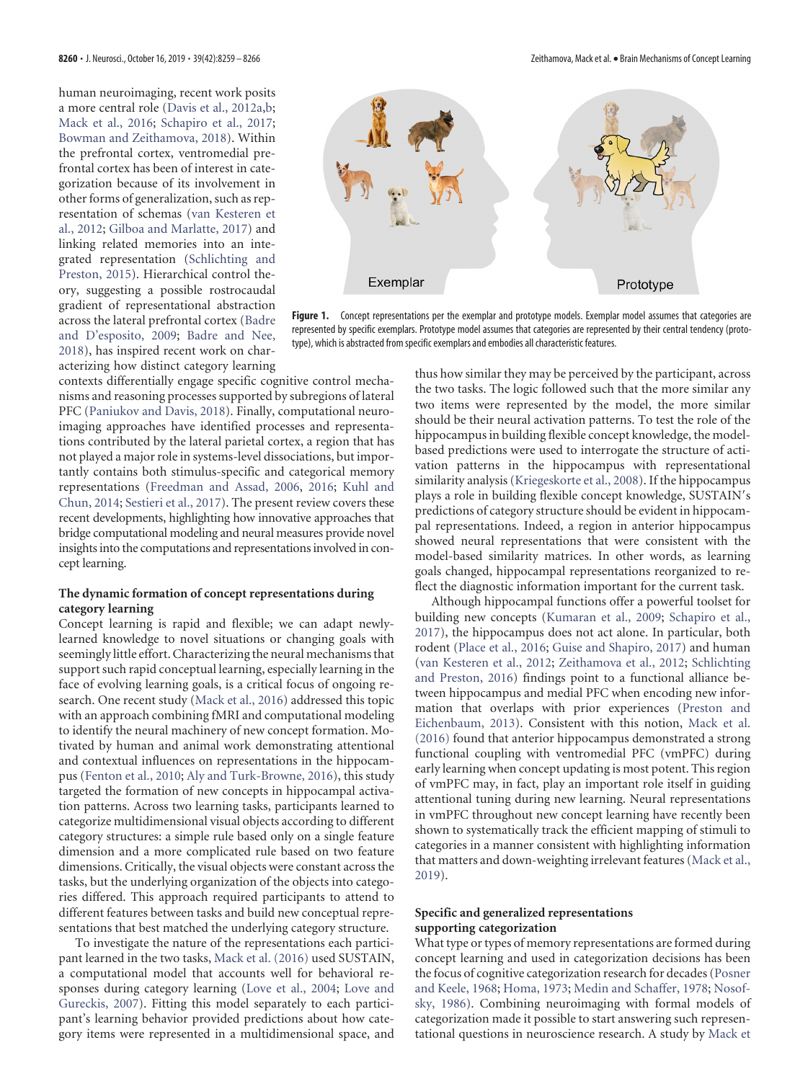human neuroimaging, recent work posits a more central role [\(Davis et al., 2012a](#page-5-5)[,b;](#page-5-6) [Mack et al., 2016;](#page-6-9) [Schapiro et al., 2017;](#page-6-10) [Bowman and Zeithamova, 2018\)](#page-5-7). Within the prefrontal cortex, ventromedial prefrontal cortex has been of interest in categorization because of its involvement in other forms of generalization, such as representation of schemas [\(van Kesteren et](#page-7-2) [al., 2012;](#page-7-2) [Gilboa and Marlatte, 2017\)](#page-6-11) and linking related memories into an integrated representation [\(Schlichting and](#page-6-12) [Preston, 2015\)](#page-6-12). Hierarchical control theory, suggesting a possible rostrocaudal gradient of representational abstraction across the lateral prefrontal cortex [\(Badre](#page-5-8) [and D'esposito, 2009;](#page-5-8) [Badre and Nee,](#page-5-9) [2018\)](#page-5-9), has inspired recent work on characterizing how distinct category learning



<span id="page-1-0"></span>**Figure 1.** Concept representations per the exemplar and prototype models. Exemplar model assumes that categories are represented by specific exemplars. Prototype model assumes that categories are represented by their central tendency (prototype), which is abstracted from specific exemplars and embodies all characteristic features.

contexts differentially engage specific cognitive control mechanisms and reasoning processes supported by subregions of lateral PFC [\(Paniukov and Davis, 2018\)](#page-6-13). Finally, computational neuroimaging approaches have identified processes and representations contributed by the lateral parietal cortex, a region that has not played a major role in systems-level dissociations, but importantly contains both stimulus-specific and categorical memory representations [\(Freedman and Assad, 2006,](#page-6-14) [2016;](#page-6-15) [Kuhl and](#page-6-16) [Chun, 2014;](#page-6-16) [Sestieri et al., 2017\)](#page-6-17). The present review covers these recent developments, highlighting how innovative approaches that bridge computational modeling and neural measures provide novel insights into the computations and representations involved in concept learning.

## **The dynamic formation of concept representations during category learning**

Concept learning is rapid and flexible; we can adapt newlylearned knowledge to novel situations or changing goals with seemingly little effort. Characterizing the neural mechanisms that support such rapid conceptual learning, especially learning in the face of evolving learning goals, is a critical focus of ongoing research. One recent study [\(Mack et al., 2016\)](#page-6-9) addressed this topic with an approach combining fMRI and computational modeling to identify the neural machinery of new concept formation. Motivated by human and animal work demonstrating attentional and contextual influences on representations in the hippocampus [\(Fenton et al., 2010;](#page-5-10) [Aly and Turk-Browne, 2016\)](#page-5-11), this study targeted the formation of new concepts in hippocampal activation patterns. Across two learning tasks, participants learned to categorize multidimensional visual objects according to different category structures: a simple rule based only on a single feature dimension and a more complicated rule based on two feature dimensions. Critically, the visual objects were constant across the tasks, but the underlying organization of the objects into categories differed. This approach required participants to attend to different features between tasks and build new conceptual representations that best matched the underlying category structure.

To investigate the nature of the representations each participant learned in the two tasks, [Mack et al. \(2016\)](#page-6-9) used SUSTAIN, a computational model that accounts well for behavioral responses during category learning [\(Love et al., 2004;](#page-6-8) [Love and](#page-6-18) [Gureckis, 2007\)](#page-6-18). Fitting this model separately to each participant's learning behavior provided predictions about how category items were represented in a multidimensional space, and thus how similar they may be perceived by the participant, across the two tasks. The logic followed such that the more similar any two items were represented by the model, the more similar should be their neural activation patterns. To test the role of the hippocampus in building flexible concept knowledge, the modelbased predictions were used to interrogate the structure of activation patterns in the hippocampus with representational similarity analysis [\(Kriegeskorte et al., 2008\)](#page-6-19). If the hippocampus plays a role in building flexible concept knowledge, SUSTAIN's predictions of category structure should be evident in hippocampal representations. Indeed, a region in anterior hippocampus showed neural representations that were consistent with the model-based similarity matrices. In other words, as learning goals changed, hippocampal representations reorganized to reflect the diagnostic information important for the current task.

Although hippocampal functions offer a powerful toolset for building new concepts [\(Kumaran et al., 2009;](#page-6-20) [Schapiro et al.,](#page-6-10) [2017\)](#page-6-10), the hippocampus does not act alone. In particular, both rodent [\(Place et al., 2016;](#page-6-21) [Guise and Shapiro, 2017\)](#page-6-22) and human [\(van Kesteren et al., 2012;](#page-7-2) [Zeithamova et al., 2012;](#page-7-3) [Schlichting](#page-6-23) [and Preston, 2016\)](#page-6-23) findings point to a functional alliance between hippocampus and medial PFC when encoding new information that overlaps with prior experiences [\(Preston and](#page-6-24) [Eichenbaum, 2013\)](#page-6-24). Consistent with this notion, [Mack et al.](#page-6-9) [\(2016\)](#page-6-9) found that anterior hippocampus demonstrated a strong functional coupling with ventromedial PFC (vmPFC) during early learning when concept updating is most potent. This region of vmPFC may, in fact, play an important role itself in guiding attentional tuning during new learning. Neural representations in vmPFC throughout new concept learning have recently been shown to systematically track the efficient mapping of stimuli to categories in a manner consistent with highlighting information that matters and down-weighting irrelevant features [\(Mack et al.,](#page-6-25) [2019\)](#page-6-25).

## **Specific and generalized representations supporting categorization**

What type or types of memory representations are formed during concept learning and used in categorization decisions has been the focus of cognitive categorization research for decades [\(Posner](#page-6-1) [and Keele, 1968;](#page-6-1) [Homa, 1973;](#page-6-26) [Medin and Schaffer, 1978;](#page-6-27) [Nosof](#page-6-2)[sky, 1986\)](#page-6-2). Combining neuroimaging with formal models of categorization made it possible to start answering such representational questions in neuroscience research. A study by [Mack et](#page-6-28)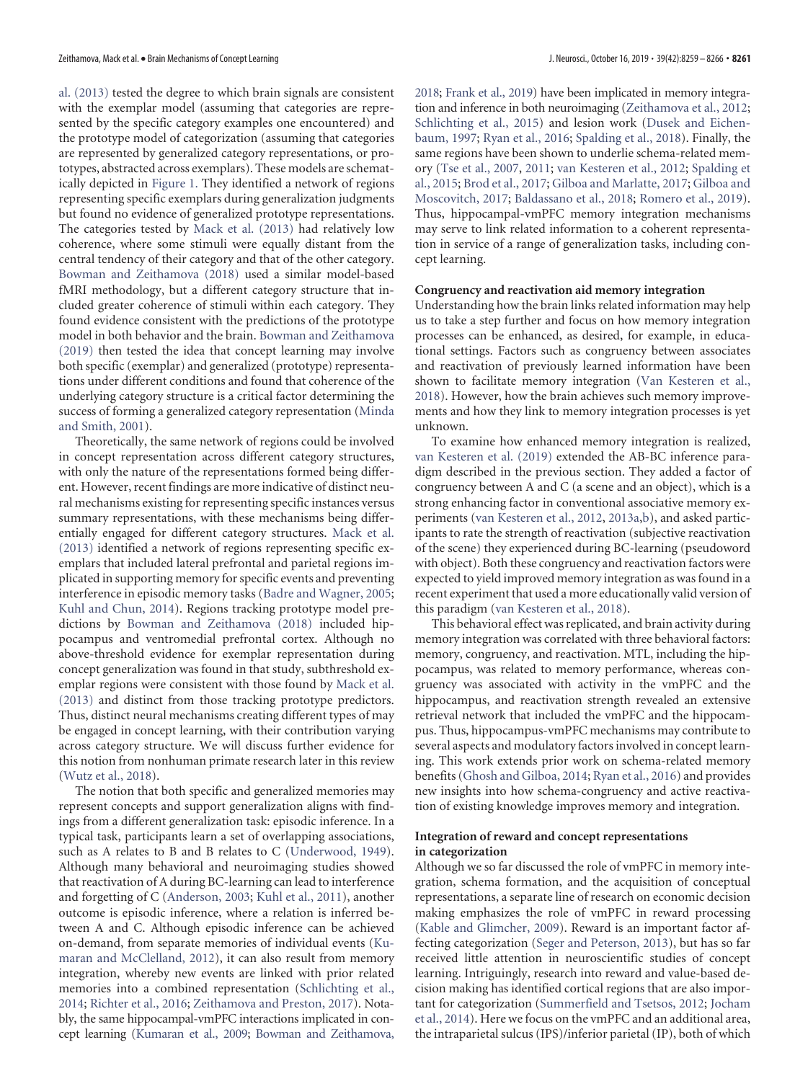[al. \(2013\)](#page-6-28) tested the degree to which brain signals are consistent with the exemplar model (assuming that categories are represented by the specific category examples one encountered) and the prototype model of categorization (assuming that categories are represented by generalized category representations, or prototypes, abstracted across exemplars). These models are schematically depicted in [Figure 1.](#page-1-0) They identified a network of regions representing specific exemplars during generalization judgments but found no evidence of generalized prototype representations. The categories tested by [Mack et al. \(2013\)](#page-6-28) had relatively low coherence, where some stimuli were equally distant from the central tendency of their category and that of the other category. [Bowman and Zeithamova \(2018\)](#page-5-7) used a similar model-based fMRI methodology, but a different category structure that included greater coherence of stimuli within each category. They found evidence consistent with the predictions of the prototype model in both behavior and the brain. [Bowman and Zeithamova](#page-5-12) [\(2019\)](#page-5-12) then tested the idea that concept learning may involve both specific (exemplar) and generalized (prototype) representations under different conditions and found that coherence of the underlying category structure is a critical factor determining the success of forming a generalized category representation [\(Minda](#page-6-29) [and Smith, 2001\)](#page-6-29).

Theoretically, the same network of regions could be involved in concept representation across different category structures, with only the nature of the representations formed being different. However, recent findings are more indicative of distinct neural mechanisms existing for representing specific instances versus summary representations, with these mechanisms being differentially engaged for different category structures. [Mack et al.](#page-6-28) [\(2013\)](#page-6-28) identified a network of regions representing specific exemplars that included lateral prefrontal and parietal regions implicated in supporting memory for specific events and preventing interference in episodic memory tasks [\(Badre and Wagner, 2005;](#page-5-13) [Kuhl and Chun, 2014\)](#page-6-16). Regions tracking prototype model predictions by [Bowman and Zeithamova \(2018\)](#page-5-7) included hippocampus and ventromedial prefrontal cortex. Although no above-threshold evidence for exemplar representation during concept generalization was found in that study, subthreshold exemplar regions were consistent with those found by [Mack et al.](#page-6-28) [\(2013\)](#page-6-28) and distinct from those tracking prototype predictors. Thus, distinct neural mechanisms creating different types of may be engaged in concept learning, with their contribution varying across category structure. We will discuss further evidence for this notion from nonhuman primate research later in this review [\(Wutz et al., 2018\)](#page-7-4).

The notion that both specific and generalized memories may represent concepts and support generalization aligns with findings from a different generalization task: episodic inference. In a typical task, participants learn a set of overlapping associations, such as A relates to B and B relates to C [\(Underwood, 1949\)](#page-7-5). Although many behavioral and neuroimaging studies showed that reactivation of A during BC-learning can lead to interference and forgetting of C [\(Anderson, 2003;](#page-5-14) [Kuhl et al., 2011\)](#page-6-30), another outcome is episodic inference, where a relation is inferred between A and C. Although episodic inference can be achieved on-demand, from separate memories of individual events [\(Ku](#page-6-31)[maran and McClelland, 2012\)](#page-6-31), it can also result from memory integration, whereby new events are linked with prior related memories into a combined representation [\(Schlichting et al.,](#page-6-32) [2014;](#page-6-32) [Richter et al., 2016;](#page-6-33) [Zeithamova and Preston, 2017\)](#page-7-6). Notably, the same hippocampal-vmPFC interactions implicated in concept learning [\(Kumaran et al., 2009;](#page-6-20) [Bowman and Zeithamova,](#page-5-7)

[2018;](#page-5-7) [Frank et al., 2019\)](#page-5-15) have been implicated in memory integration and inference in both neuroimaging [\(Zeithamova et al., 2012;](#page-7-3) [Schlichting et al., 2015\)](#page-6-34) and lesion work [\(Dusek and Eichen](#page-5-16)[baum, 1997;](#page-5-16) [Ryan et al., 2016;](#page-6-35) [Spalding et al., 2018\)](#page-7-7). Finally, the same regions have been shown to underlie schema-related memory [\(Tse et al., 2007,](#page-7-8) [2011;](#page-7-9) [van Kesteren et al., 2012;](#page-7-2) [Spalding et](#page-7-10) [al., 2015;](#page-7-10) [Brod et al., 2017;](#page-5-17) [Gilboa and Marlatte, 2017;](#page-6-11) [Gilboa and](#page-6-36) [Moscovitch, 2017;](#page-6-36) [Baldassano et al., 2018;](#page-5-18) [Romero et al., 2019\)](#page-6-37). Thus, hippocampal-vmPFC memory integration mechanisms may serve to link related information to a coherent representation in service of a range of generalization tasks, including concept learning.

#### **Congruency and reactivation aid memory integration**

Understanding how the brain links related information may help us to take a step further and focus on how memory integration processes can be enhanced, as desired, for example, in educational settings. Factors such as congruency between associates and reactivation of previously learned information have been shown to facilitate memory integration [\(Van Kesteren et al.,](#page-7-11) [2018\)](#page-7-11). However, how the brain achieves such memory improvements and how they link to memory integration processes is yet unknown.

To examine how enhanced memory integration is realized, [van Kesteren et al. \(2019\)](#page-7-12) extended the AB-BC inference paradigm described in the previous section. They added a factor of congruency between A and C (a scene and an object), which is a strong enhancing factor in conventional associative memory experiments [\(van Kesteren et al., 2012,](#page-7-2) [2013a](#page-7-13)[,b\)](#page-7-14), and asked participants to rate the strength of reactivation (subjective reactivation of the scene) they experienced during BC-learning (pseudoword with object). Both these congruency and reactivation factors were expected to yield improved memory integration as was found in a recent experiment that used a more educationally valid version of this paradigm [\(van Kesteren et al., 2018\)](#page-7-11).

This behavioral effect was replicated, and brain activity during memory integration was correlated with three behavioral factors: memory, congruency, and reactivation. MTL, including the hippocampus, was related to memory performance, whereas congruency was associated with activity in the vmPFC and the hippocampus, and reactivation strength revealed an extensive retrieval network that included the vmPFC and the hippocampus. Thus, hippocampus-vmPFC mechanisms may contribute to several aspects and modulatory factors involved in concept learning. This work extends prior work on schema-related memory benefits [\(Ghosh and Gilboa, 2014;](#page-6-38) [Ryan et al., 2016\)](#page-6-35) and provides new insights into how schema-congruency and active reactivation of existing knowledge improves memory and integration.

## **Integration of reward and concept representations in categorization**

Although we so far discussed the role of vmPFC in memory integration, schema formation, and the acquisition of conceptual representations, a separate line of research on economic decision making emphasizes the role of vmPFC in reward processing [\(Kable and Glimcher, 2009\)](#page-6-39). Reward is an important factor affecting categorization [\(Seger and Peterson, 2013\)](#page-6-40), but has so far received little attention in neuroscientific studies of concept learning. Intriguingly, research into reward and value-based decision making has identified cortical regions that are also important for categorization [\(Summerfield and Tsetsos, 2012;](#page-7-15) [Jocham](#page-6-41) [et al., 2014\)](#page-6-41). Here we focus on the vmPFC and an additional area, the intraparietal sulcus (IPS)/inferior parietal (IP), both of which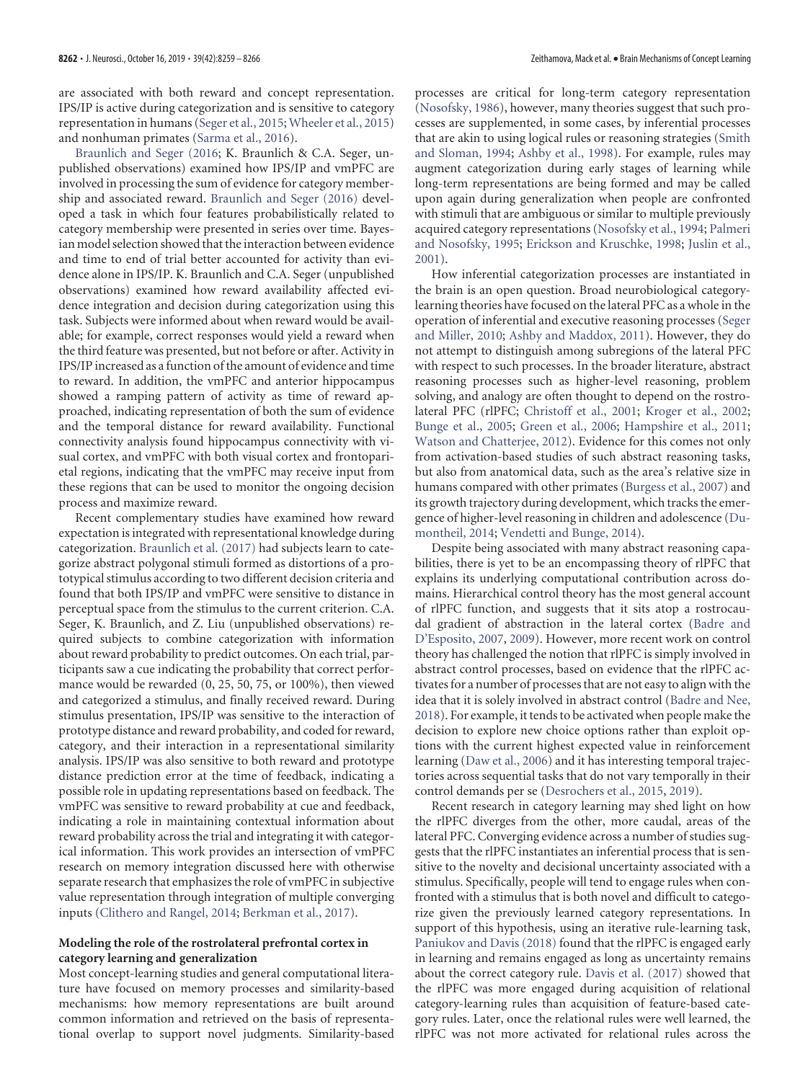are associated with both reward and concept representation. IPS/IP is active during categorization and is sensitive to category representation in humans [\(Seger et al., 2015;](#page-6-42) [Wheeler et al., 2015\)](#page-7-16) and nonhuman primates [\(Sarma et al., 2016\)](#page-6-43).

[Braunlich and Seger \(2016;](#page-5-19) K. Braunlich & C.A. Seger, unpublished observations) examined how IPS/IP and vmPFC are involved in processing the sum of evidence for category membership and associated reward. [Braunlich and Seger \(2016\)](#page-5-19) developed a task in which four features probabilistically related to category membership were presented in series over time. Bayesian model selection showed that the interaction between evidence and time to end of trial better accounted for activity than evidence alone in IPS/IP. K. Braunlich and C.A. Seger (unpublished observations) examined how reward availability affected evidence integration and decision during categorization using this task. Subjects were informed about when reward would be available; for example, correct responses would yield a reward when the third feature was presented, but not before or after. Activity in IPS/IP increased as a function of the amount of evidence and time to reward. In addition, the vmPFC and anterior hippocampus showed a ramping pattern of activity as time of reward approached, indicating representation of both the sum of evidence and the temporal distance for reward availability. Functional connectivity analysis found hippocampus connectivity with visual cortex, and vmPFC with both visual cortex and frontoparietal regions, indicating that the vmPFC may receive input from these regions that can be used to monitor the ongoing decision process and maximize reward.

Recent complementary studies have examined how reward expectation is integrated with representational knowledge during categorization. [Braunlich et al. \(2017\)](#page-5-20) had subjects learn to categorize abstract polygonal stimuli formed as distortions of a prototypical stimulus according to two different decision criteria and found that both IPS/IP and vmPFC were sensitive to distance in perceptual space from the stimulus to the current criterion. C.A. Seger, K. Braunlich, and Z. Liu (unpublished observations) required subjects to combine categorization with information about reward probability to predict outcomes. On each trial, participants saw a cue indicating the probability that correct performance would be rewarded (0, 25, 50, 75, or 100%), then viewed and categorized a stimulus, and finally received reward. During stimulus presentation, IPS/IP was sensitive to the interaction of prototype distance and reward probability, and coded for reward, category, and their interaction in a representational similarity analysis. IPS/IP was also sensitive to both reward and prototype distance prediction error at the time of feedback, indicating a possible role in updating representations based on feedback. The vmPFC was sensitive to reward probability at cue and feedback, indicating a role in maintaining contextual information about reward probability across the trial and integrating it with categorical information. This work provides an intersection of vmPFC research on memory integration discussed here with otherwise separate research that emphasizes the role of vmPFC in subjective value representation through integration of multiple converging inputs [\(Clithero and Rangel, 2014;](#page-5-21) [Berkman et al., 2017\)](#page-5-22).

#### **Modeling the role of the rostrolateral prefrontal cortex in category learning and generalization**

Most concept-learning studies and general computational literature have focused on memory processes and similarity-based mechanisms: how memory representations are built around common information and retrieved on the basis of representational overlap to support novel judgments. Similarity-based processes are critical for long-term category representation [\(Nosofsky, 1986\)](#page-6-2), however, many theories suggest that such processes are supplemented, in some cases, by inferential processes that are akin to using logical rules or reasoning strategies [\(Smith](#page-7-17) [and Sloman, 1994;](#page-7-17) [Ashby et al., 1998\)](#page-5-23). For example, rules may augment categorization during early stages of learning while long-term representations are being formed and may be called upon again during generalization when people are confronted with stimuli that are ambiguous or similar to multiple previously acquired category representations [\(Nosofsky et al., 1994;](#page-6-44) [Palmeri](#page-6-45) [and Nosofsky, 1995;](#page-6-45) [Erickson and Kruschke, 1998;](#page-5-24) [Juslin et al.,](#page-6-46) [2001\)](#page-6-46).

How inferential categorization processes are instantiated in the brain is an open question. Broad neurobiological categorylearning theories have focused on the lateral PFC as a whole in the operation of inferential and executive reasoning processes [\(Seger](#page-6-5) [and Miller, 2010;](#page-6-5) [Ashby and Maddox, 2011\)](#page-5-3). However, they do not attempt to distinguish among subregions of the lateral PFC with respect to such processes. In the broader literature, abstract reasoning processes such as higher-level reasoning, problem solving, and analogy are often thought to depend on the rostrolateral PFC (rlPFC; [Christoff et al., 2001;](#page-5-25) [Kroger et al., 2002;](#page-6-47) [Bunge et al., 2005;](#page-5-26) [Green et al., 2006;](#page-6-48) [Hampshire et al., 2011;](#page-6-49) [Watson and Chatterjee, 2012\)](#page-7-18). Evidence for this comes not only from activation-based studies of such abstract reasoning tasks, but also from anatomical data, such as the area's relative size in humans compared with other primates [\(Burgess et al., 2007\)](#page-5-27) and its growth trajectory during development, which tracks the emergence of higher-level reasoning in children and adolescence [\(Du](#page-5-28)[montheil, 2014;](#page-5-28) [Vendetti and Bunge, 2014\)](#page-7-19).

Despite being associated with many abstract reasoning capabilities, there is yet to be an encompassing theory of rlPFC that explains its underlying computational contribution across domains. Hierarchical control theory has the most general account of rlPFC function, and suggests that it sits atop a rostrocaudal gradient of abstraction in the lateral cortex [\(Badre and](#page-5-29) [D'Esposito, 2007,](#page-5-29) [2009\)](#page-5-8). However, more recent work on control theory has challenged the notion that rlPFC is simply involved in abstract control processes, based on evidence that the rlPFC activates for a number of processes that are not easy to align with the idea that it is solely involved in abstract control [\(Badre and Nee,](#page-5-9) [2018\)](#page-5-9). For example, it tends to be activated when people make the decision to explore new choice options rather than exploit options with the current highest expected value in reinforcement learning [\(Daw et al., 2006\)](#page-5-30) and it has interesting temporal trajectories across sequential tasks that do not vary temporally in their control demands per se [\(Desrochers et al., 2015,](#page-5-31) [2019\)](#page-5-32).

Recent research in category learning may shed light on how the rlPFC diverges from the other, more caudal, areas of the lateral PFC. Converging evidence across a number of studies suggests that the rlPFC instantiates an inferential process that is sensitive to the novelty and decisional uncertainty associated with a stimulus. Specifically, people will tend to engage rules when confronted with a stimulus that is both novel and difficult to categorize given the previously learned category representations. In support of this hypothesis, using an iterative rule-learning task, [Paniukov and Davis \(2018\)](#page-6-13) found that the rlPFC is engaged early in learning and remains engaged as long as uncertainty remains about the correct category rule. [Davis et al. \(2017\)](#page-5-33) showed that the rlPFC was more engaged during acquisition of relational category-learning rules than acquisition of feature-based category rules. Later, once the relational rules were well learned, the rlPFC was not more activated for relational rules across the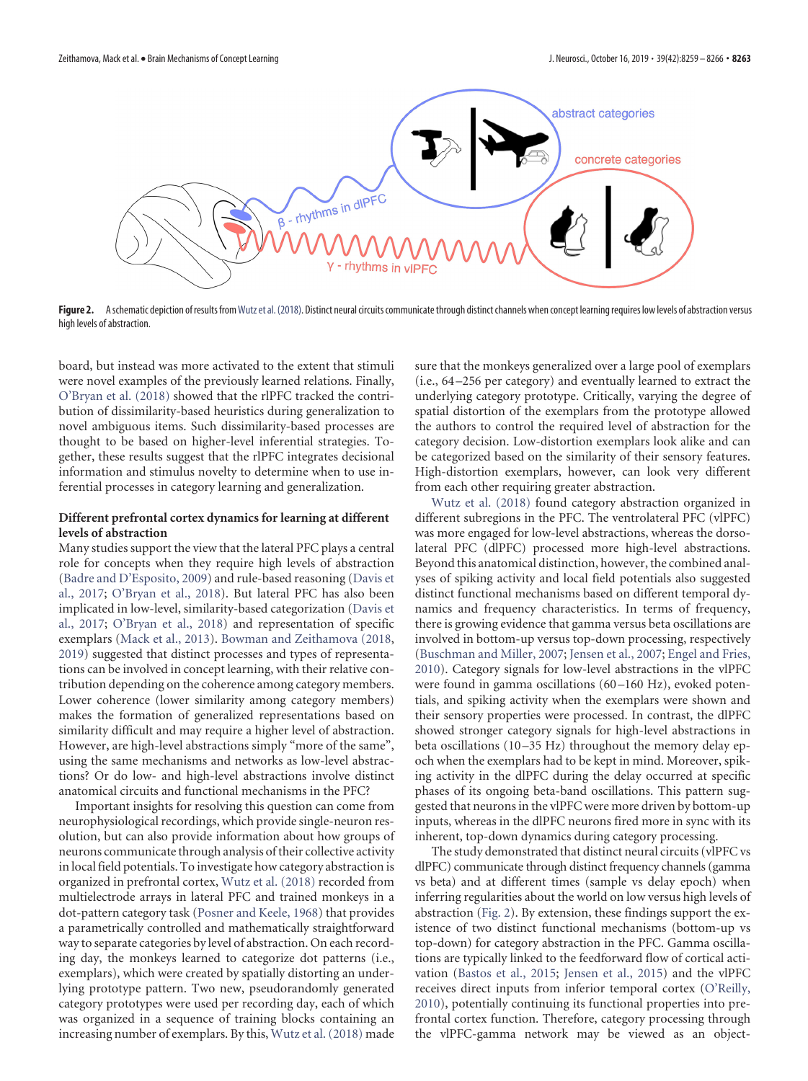

<span id="page-4-0"></span>Figure 2. A schematic depiction of results from Wutz et al. (2018). Distinct neural circuits communicate through distinct channels when concept learning requires low levels of abstraction versus high levels of abstraction.

board, but instead was more activated to the extent that stimuli were novel examples of the previously learned relations. Finally, [O'Bryan et al. \(2018\)](#page-6-50) showed that the rlPFC tracked the contribution of dissimilarity-based heuristics during generalization to novel ambiguous items. Such dissimilarity-based processes are thought to be based on higher-level inferential strategies. Together, these results suggest that the rlPFC integrates decisional information and stimulus novelty to determine when to use inferential processes in category learning and generalization.

## **Different prefrontal cortex dynamics for learning at different levels of abstraction**

Many studies support the view that the lateral PFC plays a central role for concepts when they require high levels of abstraction [\(Badre and D'Esposito, 2009\)](#page-5-8) and rule-based reasoning [\(Davis et](#page-5-33) [al., 2017;](#page-5-33) [O'Bryan et al., 2018\)](#page-6-50). But lateral PFC has also been implicated in low-level, similarity-based categorization [\(Davis et](#page-5-33) [al., 2017;](#page-5-33) [O'Bryan et al., 2018\)](#page-6-50) and representation of specific exemplars [\(Mack et al., 2013\)](#page-6-28). [Bowman and Zeithamova \(2018,](#page-5-7) [2019\)](#page-5-12) suggested that distinct processes and types of representations can be involved in concept learning, with their relative contribution depending on the coherence among category members. Lower coherence (lower similarity among category members) makes the formation of generalized representations based on similarity difficult and may require a higher level of abstraction. However, are high-level abstractions simply "more of the same", using the same mechanisms and networks as low-level abstractions? Or do low- and high-level abstractions involve distinct anatomical circuits and functional mechanisms in the PFC?

Important insights for resolving this question can come from neurophysiological recordings, which provide single-neuron resolution, but can also provide information about how groups of neurons communicate through analysis of their collective activity in local field potentials. To investigate how category abstraction is organized in prefrontal cortex, [Wutz et al. \(2018\)](#page-7-4) recorded from multielectrode arrays in lateral PFC and trained monkeys in a dot-pattern category task [\(Posner and Keele, 1968\)](#page-6-1) that provides a parametrically controlled and mathematically straightforward way to separate categories by level of abstraction. On each recording day, the monkeys learned to categorize dot patterns (i.e., exemplars), which were created by spatially distorting an underlying prototype pattern. Two new, pseudorandomly generated category prototypes were used per recording day, each of which was organized in a sequence of training blocks containing an increasing number of exemplars. By this, [Wutz et al. \(2018\)](#page-7-4) made

sure that the monkeys generalized over a large pool of exemplars (i.e., 64 –256 per category) and eventually learned to extract the underlying category prototype. Critically, varying the degree of spatial distortion of the exemplars from the prototype allowed the authors to control the required level of abstraction for the category decision. Low-distortion exemplars look alike and can be categorized based on the similarity of their sensory features. High-distortion exemplars, however, can look very different from each other requiring greater abstraction.

[Wutz et al. \(2018\)](#page-7-4) found category abstraction organized in different subregions in the PFC. The ventrolateral PFC (vlPFC) was more engaged for low-level abstractions, whereas the dorsolateral PFC (dlPFC) processed more high-level abstractions. Beyond this anatomical distinction, however, the combined analyses of spiking activity and local field potentials also suggested distinct functional mechanisms based on different temporal dynamics and frequency characteristics. In terms of frequency, there is growing evidence that gamma versus beta oscillations are involved in bottom-up versus top-down processing, respectively [\(Buschman and Miller, 2007;](#page-5-34) [Jensen et al., 2007;](#page-6-51) [Engel and Fries,](#page-5-35) [2010\)](#page-5-35). Category signals for low-level abstractions in the vlPFC were found in gamma oscillations (60-160 Hz), evoked potentials, and spiking activity when the exemplars were shown and their sensory properties were processed. In contrast, the dlPFC showed stronger category signals for high-level abstractions in beta oscillations (10 –35 Hz) throughout the memory delay epoch when the exemplars had to be kept in mind. Moreover, spiking activity in the dlPFC during the delay occurred at specific phases of its ongoing beta-band oscillations. This pattern suggested that neurons in the vlPFC were more driven by bottom-up inputs, whereas in the dlPFC neurons fired more in sync with its inherent, top-down dynamics during category processing.

The study demonstrated that distinct neural circuits (vlPFC vs dlPFC) communicate through distinct frequency channels (gamma vs beta) and at different times (sample vs delay epoch) when inferring regularities about the world on low versus high levels of abstraction [\(Fig. 2\)](#page-4-0). By extension, these findings support the existence of two distinct functional mechanisms (bottom-up vs top-down) for category abstraction in the PFC. Gamma oscillations are typically linked to the feedforward flow of cortical activation [\(Bastos et al., 2015;](#page-5-36) [Jensen et al., 2015\)](#page-6-52) and the vlPFC receives direct inputs from inferior temporal cortex [\(O'Reilly,](#page-6-53) [2010\)](#page-6-53), potentially continuing its functional properties into prefrontal cortex function. Therefore, category processing through the vlPFC-gamma network may be viewed as an object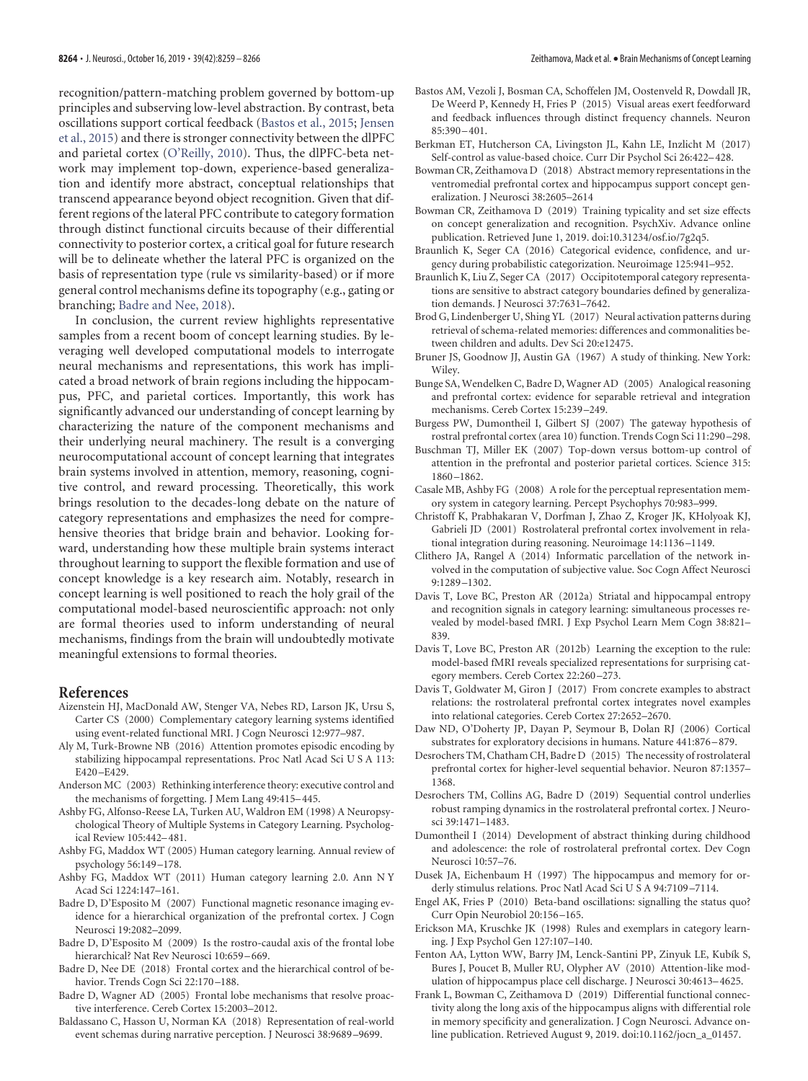recognition/pattern-matching problem governed by bottom-up principles and subserving low-level abstraction. By contrast, beta oscillations support cortical feedback [\(Bastos et al., 2015;](#page-5-36) [Jensen](#page-6-52) [et al., 2015\)](#page-6-52) and there is stronger connectivity between the dlPFC and parietal cortex [\(O'Reilly, 2010\)](#page-6-53). Thus, the dlPFC-beta network may implement top-down, experience-based generalization and identify more abstract, conceptual relationships that transcend appearance beyond object recognition. Given that different regions of the lateral PFC contribute to category formation through distinct functional circuits because of their differential connectivity to posterior cortex, a critical goal for future research will be to delineate whether the lateral PFC is organized on the basis of representation type (rule vs similarity-based) or if more general control mechanisms define its topography (e.g., gating or branching; [Badre and Nee, 2018\)](#page-5-9).

In conclusion, the current review highlights representative samples from a recent boom of concept learning studies. By leveraging well developed computational models to interrogate neural mechanisms and representations, this work has implicated a broad network of brain regions including the hippocampus, PFC, and parietal cortices. Importantly, this work has significantly advanced our understanding of concept learning by characterizing the nature of the component mechanisms and their underlying neural machinery. The result is a converging neurocomputational account of concept learning that integrates brain systems involved in attention, memory, reasoning, cognitive control, and reward processing. Theoretically, this work brings resolution to the decades-long debate on the nature of category representations and emphasizes the need for comprehensive theories that bridge brain and behavior. Looking forward, understanding how these multiple brain systems interact throughout learning to support the flexible formation and use of concept knowledge is a key research aim. Notably, research in concept learning is well positioned to reach the holy grail of the computational model-based neuroscientific approach: not only are formal theories used to inform understanding of neural mechanisms, findings from the brain will undoubtedly motivate meaningful extensions to formal theories.

#### <span id="page-5-1"></span>**References**

- Aizenstein HJ, MacDonald AW, Stenger VA, Nebes RD, Larson JK, Ursu S, Carter CS (2000) Complementary category learning systems identified using event-related functional MRI. J Cogn Neurosci 12:977–987.
- <span id="page-5-11"></span>Aly M, Turk-Browne NB (2016) Attention promotes episodic encoding by stabilizing hippocampal representations. Proc Natl Acad Sci U S A 113: E420 –E429.
- <span id="page-5-14"></span>Anderson MC (2003) Rethinking interference theory: executive control and the mechanisms of forgetting. J Mem Lang 49:415–445.
- <span id="page-5-23"></span>Ashby FG, Alfonso-Reese LA, Turken AU, Waldron EM (1998) A Neuropsychological Theory of Multiple Systems in Category Learning. Psychological Review 105:442–481.
- <span id="page-5-4"></span>Ashby FG, Maddox WT (2005) Human category learning. Annual review of psychology 56:149 –178.
- <span id="page-5-3"></span>Ashby FG, Maddox WT (2011) Human category learning 2.0. Ann N Y Acad Sci 1224:147–161.
- <span id="page-5-29"></span>Badre D, D'Esposito M (2007) Functional magnetic resonance imaging evidence for a hierarchical organization of the prefrontal cortex. J Cogn Neurosci 19:2082–2099.
- <span id="page-5-8"></span>Badre D, D'Esposito M (2009) Is the rostro-caudal axis of the frontal lobe hierarchical? Nat Rev Neurosci 10:659-669.
- <span id="page-5-9"></span>Badre D, Nee DE (2018) Frontal cortex and the hierarchical control of behavior. Trends Cogn Sci 22:170-188.
- <span id="page-5-13"></span>Badre D, Wagner AD (2005) Frontal lobe mechanisms that resolve proactive interference. Cereb Cortex 15:2003–2012.
- <span id="page-5-18"></span>Baldassano C, Hasson U, Norman KA (2018) Representation of real-world event schemas during narrative perception. J Neurosci 38:9689 –9699.
- <span id="page-5-36"></span>Bastos AM, Vezoli J, Bosman CA, Schoffelen JM, Oostenveld R, Dowdall JR, De Weerd P, Kennedy H, Fries P (2015) Visual areas exert feedforward and feedback influences through distinct frequency channels. Neuron  $85:390 - 401$ .
- <span id="page-5-22"></span>Berkman ET, Hutcherson CA, Livingston JL, Kahn LE, Inzlicht M (2017) Self-control as value-based choice. Curr Dir Psychol Sci 26:422–428.
- <span id="page-5-7"></span>Bowman CR, Zeithamova D (2018) Abstract memory representations in the ventromedial prefrontal cortex and hippocampus support concept generalization. J Neurosci 38:2605–2614
- <span id="page-5-12"></span>Bowman CR, Zeithamova D (2019) Training typicality and set size effects on concept generalization and recognition. PsychXiv. Advance online publication. Retrieved June 1, 2019. doi:10.31234/osf.io/7g2q5.
- <span id="page-5-19"></span>Braunlich K, Seger CA (2016) Categorical evidence, confidence, and urgency during probabilistic categorization. Neuroimage 125:941–952.
- <span id="page-5-20"></span>Braunlich K, Liu Z, Seger CA (2017) Occipitotemporal category representations are sensitive to abstract category boundaries defined by generalization demands. J Neurosci 37:7631–7642.
- <span id="page-5-17"></span>Brod G, Lindenberger U, Shing YL (2017) Neural activation patterns during retrieval of schema-related memories: differences and commonalities between children and adults. Dev Sci 20:e12475.
- <span id="page-5-0"></span>Bruner JS, Goodnow JJ, Austin GA (1967) A study of thinking. New York: Wiley.
- <span id="page-5-26"></span>Bunge SA, Wendelken C, Badre D, Wagner AD (2005) Analogical reasoning and prefrontal cortex: evidence for separable retrieval and integration mechanisms. Cereb Cortex 15:239 –249.
- <span id="page-5-27"></span>Burgess PW, Dumontheil I, Gilbert SJ (2007) The gateway hypothesis of rostral prefrontal cortex (area 10) function. Trends Cogn Sci 11:290 –298.
- <span id="page-5-34"></span>Buschman TJ, Miller EK (2007) Top-down versus bottom-up control of attention in the prefrontal and posterior parietal cortices. Science 315: 1860 –1862.
- <span id="page-5-2"></span>Casale MB, Ashby FG (2008) A role for the perceptual representation memory system in category learning. Percept Psychophys 70:983–999.
- <span id="page-5-25"></span>Christoff K, Prabhakaran V, Dorfman J, Zhao Z, Kroger JK, KHolyoak KJ, Gabrieli JD (2001) Rostrolateral prefrontal cortex involvement in relational integration during reasoning. Neuroimage 14:1136 –1149.
- <span id="page-5-21"></span>Clithero JA, Rangel A (2014) Informatic parcellation of the network involved in the computation of subjective value. Soc Cogn Affect Neurosci 9:1289 –1302.
- <span id="page-5-5"></span>Davis T, Love BC, Preston AR (2012a) Striatal and hippocampal entropy and recognition signals in category learning: simultaneous processes revealed by model-based fMRI. J Exp Psychol Learn Mem Cogn 38:821– 839.
- <span id="page-5-6"></span>Davis T, Love BC, Preston AR (2012b) Learning the exception to the rule: model-based fMRI reveals specialized representations for surprising category members. Cereb Cortex 22:260 –273.
- <span id="page-5-33"></span>Davis T, Goldwater M, Giron J (2017) From concrete examples to abstract relations: the rostrolateral prefrontal cortex integrates novel examples into relational categories. Cereb Cortex 27:2652–2670.
- <span id="page-5-30"></span>Daw ND, O'Doherty JP, Dayan P, Seymour B, Dolan RJ (2006) Cortical substrates for exploratory decisions in humans. Nature 441:876-879.
- <span id="page-5-31"></span>Desrochers TM, Chatham CH, Badre D (2015) The necessity of rostrolateral prefrontal cortex for higher-level sequential behavior. Neuron 87:1357– 1368.
- <span id="page-5-32"></span>Desrochers TM, Collins AG, Badre D (2019) Sequential control underlies robust ramping dynamics in the rostrolateral prefrontal cortex. J Neurosci 39:1471–1483.
- <span id="page-5-28"></span>Dumontheil I (2014) Development of abstract thinking during childhood and adolescence: the role of rostrolateral prefrontal cortex. Dev Cogn Neurosci 10:57–76.
- <span id="page-5-16"></span>Dusek JA, Eichenbaum H (1997) The hippocampus and memory for orderly stimulus relations. Proc Natl Acad Sci U S A 94:7109 –7114.
- <span id="page-5-35"></span>Engel AK, Fries P (2010) Beta-band oscillations: signalling the status quo? Curr Opin Neurobiol 20:156 –165.
- <span id="page-5-24"></span>Erickson MA, Kruschke JK (1998) Rules and exemplars in category learning. J Exp Psychol Gen 127:107–140.
- <span id="page-5-10"></span>Fenton AA, Lytton WW, Barry JM, Lenck-Santini PP, Zinyuk LE, Kubík S, Bures J, Poucet B, Muller RU, Olypher AV (2010) Attention-like modulation of hippocampus place cell discharge. J Neurosci 30:4613–4625.
- <span id="page-5-15"></span>Frank L, Bowman C, Zeithamova D (2019) Differential functional connectivity along the long axis of the hippocampus aligns with differential role in memory specificity and generalization. J Cogn Neurosci. Advance online publication. Retrieved August 9, 2019. doi:10.1162/jocn\_a\_01457.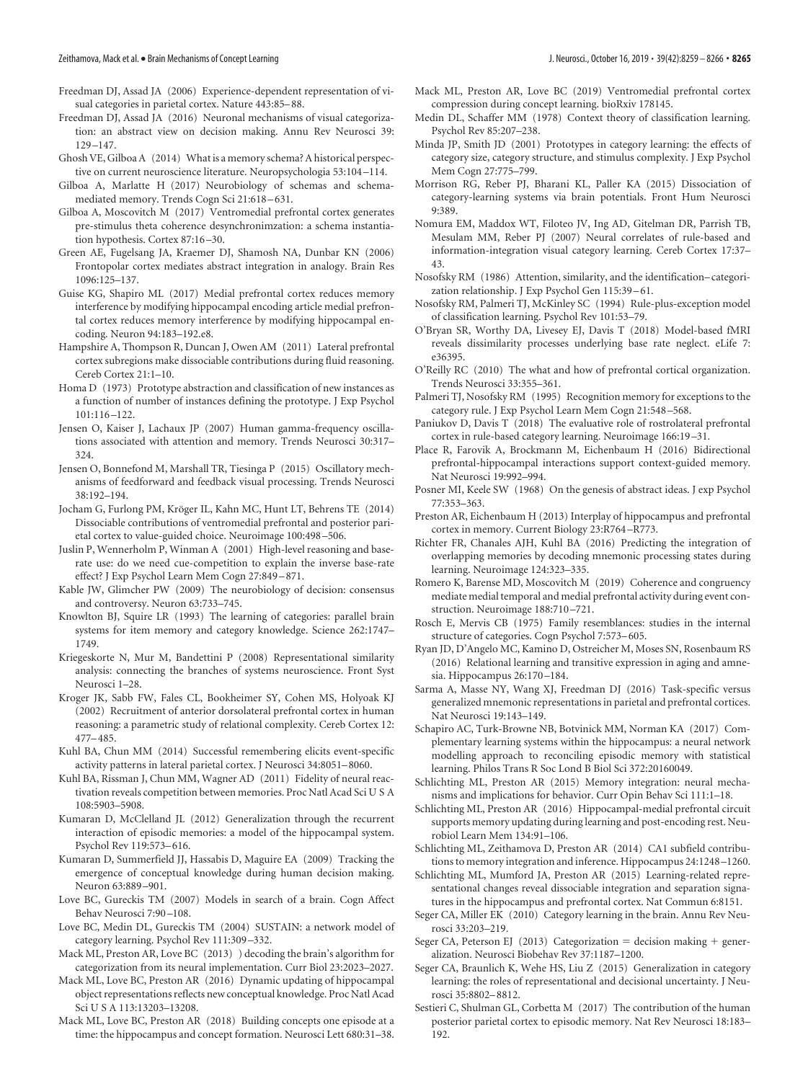- <span id="page-6-14"></span>Freedman DJ, Assad JA (2006) Experience-dependent representation of visual categories in parietal cortex. Nature 443:85–88.
- <span id="page-6-15"></span>Freedman DJ, Assad JA (2016) Neuronal mechanisms of visual categorization: an abstract view on decision making. Annu Rev Neurosci 39: 129 –147.
- <span id="page-6-38"></span>Ghosh VE, Gilboa A (2014) What is a memory schema? A historical perspective on current neuroscience literature. Neuropsychologia 53:104 –114.
- <span id="page-6-11"></span>Gilboa A, Marlatte H (2017) Neurobiology of schemas and schemamediated memory. Trends Cogn Sci 21:618 –631.
- <span id="page-6-36"></span>Gilboa A, Moscovitch M (2017) Ventromedial prefrontal cortex generates pre-stimulus theta coherence desynchronimzation: a schema instantiation hypothesis. Cortex 87:16 –30.
- <span id="page-6-48"></span>Green AE, Fugelsang JA, Kraemer DJ, Shamosh NA, Dunbar KN (2006) Frontopolar cortex mediates abstract integration in analogy. Brain Res 1096:125–137.
- <span id="page-6-22"></span>Guise KG, Shapiro ML (2017) Medial prefrontal cortex reduces memory interference by modifying hippocampal encoding article medial prefrontal cortex reduces memory interference by modifying hippocampal encoding. Neuron 94:183–192.e8.
- <span id="page-6-49"></span>Hampshire A, Thompson R, Duncan J, Owen AM (2011) Lateral prefrontal cortex subregions make dissociable contributions during fluid reasoning. Cereb Cortex 21:1–10.
- <span id="page-6-26"></span>Homa D (1973) Prototype abstraction and classification of new instances as a function of number of instances defining the prototype. J Exp Psychol 101:116 –122.
- <span id="page-6-51"></span>Jensen O, Kaiser J, Lachaux JP (2007) Human gamma-frequency oscillations associated with attention and memory. Trends Neurosci 30:317– 324.
- <span id="page-6-52"></span>Jensen O, Bonnefond M, Marshall TR, Tiesinga P (2015) Oscillatory mechanisms of feedforward and feedback visual processing. Trends Neurosci 38:192–194.
- <span id="page-6-41"></span>Jocham G, Furlong PM, Kröger IL, Kahn MC, Hunt LT, Behrens TE (2014) Dissociable contributions of ventromedial prefrontal and posterior parietal cortex to value-guided choice. Neuroimage 100:498 –506.
- <span id="page-6-46"></span>Juslin P, Wennerholm P, Winman A (2001) High-level reasoning and baserate use: do we need cue-competition to explain the inverse base-rate effect? J Exp Psychol Learn Mem Cogn 27:849 –871.
- <span id="page-6-39"></span>Kable JW, Glimcher PW (2009) The neurobiology of decision: consensus and controversy. Neuron 63:733–745.
- <span id="page-6-7"></span>Knowlton BJ, Squire LR (1993) The learning of categories: parallel brain systems for item memory and category knowledge. Science 262:1747– 1749.
- <span id="page-6-19"></span>Kriegeskorte N, Mur M, Bandettini P (2008) Representational similarity analysis: connecting the branches of systems neuroscience. Front Syst Neurosci 1–28.
- <span id="page-6-47"></span>Kroger JK, Sabb FW, Fales CL, Bookheimer SY, Cohen MS, Holyoak KJ (2002) Recruitment of anterior dorsolateral prefrontal cortex in human reasoning: a parametric study of relational complexity. Cereb Cortex 12: 477–485.
- <span id="page-6-16"></span>Kuhl BA, Chun MM (2014) Successful remembering elicits event-specific activity patterns in lateral parietal cortex. J Neurosci 34:8051–8060.
- <span id="page-6-30"></span>Kuhl BA, Rissman J, Chun MM, Wagner AD (2011) Fidelity of neural reactivation reveals competition between memories. Proc Natl Acad Sci U S A 108:5903–5908.
- <span id="page-6-31"></span>Kumaran D, McClelland JL (2012) Generalization through the recurrent interaction of episodic memories: a model of the hippocampal system. Psychol Rev 119:573–616.
- <span id="page-6-20"></span>Kumaran D, Summerfield JJ, Hassabis D, Maguire EA (2009) Tracking the emergence of conceptual knowledge during human decision making. Neuron 63:889 –901.
- <span id="page-6-18"></span>Love BC, Gureckis TM (2007) Models in search of a brain. Cogn Affect Behav Neurosci 7:90 –108.
- <span id="page-6-8"></span>Love BC, Medin DL, Gureckis TM (2004) SUSTAIN: a network model of category learning. Psychol Rev 111:309 –332.
- <span id="page-6-28"></span>Mack ML, Preston AR, Love BC (2013) ) decoding the brain's algorithm for categorization from its neural implementation. Curr Biol 23:2023–2027.
- <span id="page-6-9"></span>Mack ML, Love BC, Preston AR (2016) Dynamic updating of hippocampal object representations reflects new conceptual knowledge. Proc Natl Acad Sci U S A 113:13203–13208.
- <span id="page-6-6"></span>Mack ML, Love BC, Preston AR (2018) Building concepts one episode at a time: the hippocampus and concept formation. Neurosci Lett 680:31–38.
- <span id="page-6-25"></span>Mack ML, Preston AR, Love BC (2019) Ventromedial prefrontal cortex compression during concept learning. bioRxiv 178145.
- <span id="page-6-27"></span>Medin DL, Schaffer MM (1978) Context theory of classification learning. Psychol Rev 85:207–238.
- <span id="page-6-29"></span>Minda JP, Smith JD (2001) Prototypes in category learning: the effects of category size, category structure, and stimulus complexity. J Exp Psychol Mem Cogn 27:775–799.
- <span id="page-6-4"></span>Morrison RG, Reber PJ, Bharani KL, Paller KA (2015) Dissociation of category-learning systems via brain potentials. Front Hum Neurosci 9:389.
- <span id="page-6-3"></span>Nomura EM, Maddox WT, Filoteo JV, Ing AD, Gitelman DR, Parrish TB, Mesulam MM, Reber PJ (2007) Neural correlates of rule-based and information-integration visual category learning. Cereb Cortex 17:37– 43.
- <span id="page-6-2"></span>Nosofsky RM (1986) Attention, similarity, and the identification– categorization relationship. J Exp Psychol Gen 115:39 –61.
- <span id="page-6-44"></span>Nosofsky RM, Palmeri TJ, McKinley SC (1994) Rule-plus-exception model of classification learning. Psychol Rev 101:53–79.
- <span id="page-6-50"></span>O'Bryan SR, Worthy DA, Livesey EJ, Davis T (2018) Model-based fMRI reveals dissimilarity processes underlying base rate neglect. eLife 7: e36395.
- <span id="page-6-53"></span>O'Reilly RC (2010) The what and how of prefrontal cortical organization. Trends Neurosci 33:355–361.
- <span id="page-6-45"></span>Palmeri TJ, Nosofsky RM (1995) Recognition memory for exceptions to the category rule. J Exp Psychol Learn Mem Cogn 21:548 –568.
- <span id="page-6-13"></span>Paniukov D, Davis T (2018) The evaluative role of rostrolateral prefrontal cortex in rule-based category learning. Neuroimage 166:19 –31.
- <span id="page-6-21"></span>Place R, Farovik A, Brockmann M, Eichenbaum H (2016) Bidirectional prefrontal-hippocampal interactions support context-guided memory. Nat Neurosci 19:992–994.
- <span id="page-6-1"></span>Posner MI, Keele SW (1968) On the genesis of abstract ideas. J exp Psychol 77:353–363.
- <span id="page-6-24"></span>Preston AR, Eichenbaum H (2013) Interplay of hippocampus and prefrontal cortex in memory. Current Biology 23:R764 –R773.
- <span id="page-6-33"></span>Richter FR, Chanales AJH, Kuhl BA (2016) Predicting the integration of overlapping memories by decoding mnemonic processing states during learning. Neuroimage 124:323–335.
- <span id="page-6-37"></span>Romero K, Barense MD, Moscovitch M (2019) Coherence and congruency mediate medial temporal and medial prefrontal activity during event construction. Neuroimage 188:710 –721.
- <span id="page-6-0"></span>Rosch E, Mervis CB (1975) Family resemblances: studies in the internal structure of categories. Cogn Psychol 7:573–605.
- <span id="page-6-35"></span>Ryan JD, D'Angelo MC, Kamino D, Ostreicher M, Moses SN, Rosenbaum RS (2016) Relational learning and transitive expression in aging and amnesia. Hippocampus 26:170 –184.
- <span id="page-6-43"></span>Sarma A, Masse NY, Wang XJ, Freedman DJ (2016) Task-specific versus generalized mnemonic representations in parietal and prefrontal cortices. Nat Neurosci 19:143–149.
- <span id="page-6-10"></span>Schapiro AC, Turk-Browne NB, Botvinick MM, Norman KA (2017) Complementary learning systems within the hippocampus: a neural network modelling approach to reconciling episodic memory with statistical learning. Philos Trans R Soc Lond B Biol Sci 372:20160049.
- <span id="page-6-12"></span>Schlichting ML, Preston AR (2015) Memory integration: neural mechanisms and implications for behavior. Curr Opin Behav Sci 111:1–18.
- <span id="page-6-23"></span>Schlichting ML, Preston AR (2016) Hippocampal-medial prefrontal circuit supports memory updating during learning and post-encoding rest. Neurobiol Learn Mem 134:91–106.
- <span id="page-6-32"></span>Schlichting ML, Zeithamova D, Preston AR (2014) CA1 subfield contributions to memory integration and inference. Hippocampus 24:1248 –1260.
- <span id="page-6-34"></span>Schlichting ML, Mumford JA, Preston AR (2015) Learning-related representational changes reveal dissociable integration and separation signatures in the hippocampus and prefrontal cortex. Nat Commun 6:8151.
- <span id="page-6-5"></span>Seger CA, Miller EK (2010) Category learning in the brain. Annu Rev Neurosci 33:203–219.
- <span id="page-6-40"></span>Seger CA, Peterson EJ (2013) Categorization = decision making  $+$  generalization. Neurosci Biobehav Rev 37:1187–1200.
- <span id="page-6-42"></span>Seger CA, Braunlich K, Wehe HS, Liu Z (2015) Generalization in category learning: the roles of representational and decisional uncertainty. J Neurosci 35:8802–8812.
- <span id="page-6-17"></span>Sestieri C, Shulman GL, Corbetta M (2017) The contribution of the human posterior parietal cortex to episodic memory. Nat Rev Neurosci 18:183– 192.